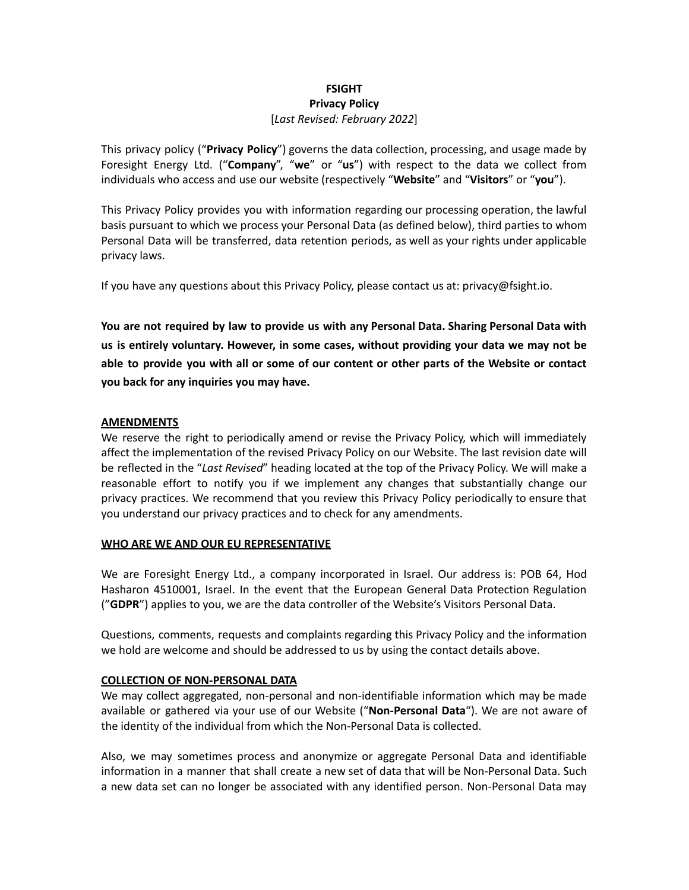# **FSIGHT Privacy Policy** [*Last Revised: February 2022*]

This privacy policy ("**Privacy Policy**") governs the data collection, processing, and usage made by Foresight Energy Ltd. ("**Company**", "**we**" or "**us**") with respect to the data we collect from individuals who access and use our website (respectively "**Website**" and "**Visitors**" or "**you**").

This Privacy Policy provides you with information regarding our processing operation, the lawful basis pursuant to which we process your Personal Data (as defined below), third parties to whom Personal Data will be transferred, data retention periods, as well as your rights under applicable privacy laws.

If you have any questions about this Privacy Policy, please contact us at: privacy@fsight.io.

**You are not required by law to provide us with any Personal Data. Sharing Personal Data with us is entirely voluntary. However, in some cases, without providing your data we may not be** able to provide you with all or some of our content or other parts of the Website or contact **you back for any inquiries you may have.**

# **AMENDMENTS**

We reserve the right to periodically amend or revise the Privacy Policy, which will immediately affect the implementation of the revised Privacy Policy on our Website. The last revision date will be reflected in the "*Last Revised*" heading located at the top of the Privacy Policy. We will make a reasonable effort to notify you if we implement any changes that substantially change our privacy practices. We recommend that you review this Privacy Policy periodically to ensure that you understand our privacy practices and to check for any amendments.

## **WHO ARE WE AND OUR EU REPRESENTATIVE**

We are Foresight Energy Ltd., a company incorporated in Israel. Our address is: POB 64, Hod Hasharon 4510001, Israel. In the event that the European General Data Protection Regulation ("**GDPR**") applies to you, we are the data controller of the Website's Visitors Personal Data.

Questions, comments, requests and complaints regarding this Privacy Policy and the information we hold are welcome and should be addressed to us by using the contact details above.

## **COLLECTION OF NON-PERSONAL DATA**

We may collect aggregated, non-personal and non-identifiable information which may be made available or gathered via your use of our Website ("**Non-Personal Data**"). We are not aware of the identity of the individual from which the Non-Personal Data is collected.

Also, we may sometimes process and anonymize or aggregate Personal Data and identifiable information in a manner that shall create a new set of data that will be Non-Personal Data. Such a new data set can no longer be associated with any identified person. Non-Personal Data may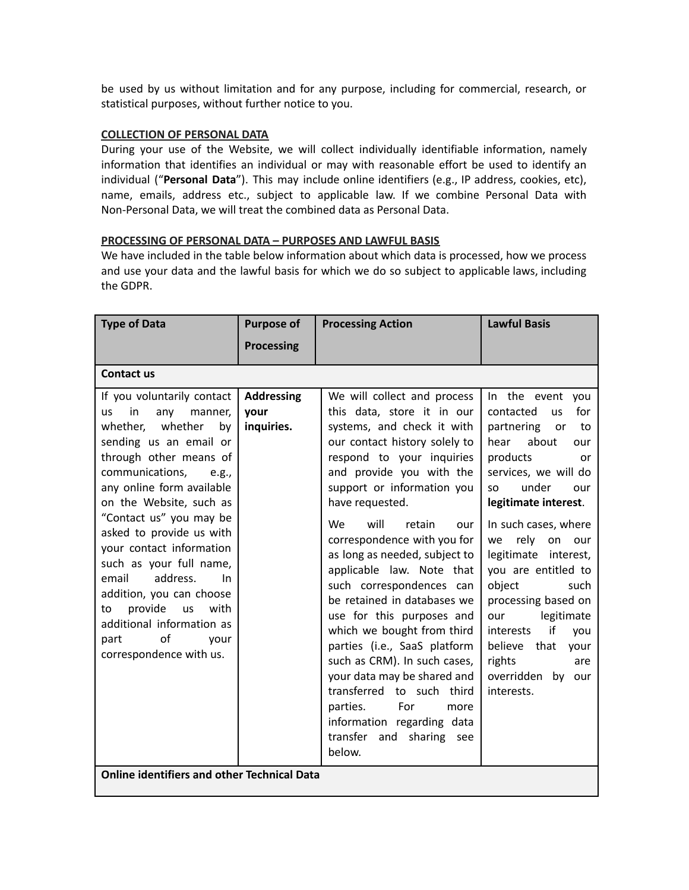be used by us without limitation and for any purpose, including for commercial, research, or statistical purposes, without further notice to you.

### **COLLECTION OF PERSONAL DATA**

During your use of the Website, we will collect individually identifiable information, namely information that identifies an individual or may with reasonable effort be used to identify an individual ("**Personal Data**"). This may include online identifiers (e.g., IP address, cookies, etc), name, emails, address etc., subject to applicable law. If we combine Personal Data with Non-Personal Data, we will treat the combined data as Personal Data.

#### **PROCESSING OF PERSONAL DATA – PURPOSES AND LAWFUL BASIS**

We have included in the table below information about which data is processed, how we process and use your data and the lawful basis for which we do so subject to applicable laws, including the GDPR.

| <b>Type of Data</b>                                                                                                                                                                                                                                                                                                                                                                                                                                                                                                                                                                        | <b>Purpose of</b>                       | <b>Processing Action</b>                                                                                                                                                                                                                                                                                                                                                                                                                                                                                                                                                                                                                                                                                               | <b>Lawful Basis</b>                                                                                                                                                                                                                                                                                                                                                                                                                                                     |
|--------------------------------------------------------------------------------------------------------------------------------------------------------------------------------------------------------------------------------------------------------------------------------------------------------------------------------------------------------------------------------------------------------------------------------------------------------------------------------------------------------------------------------------------------------------------------------------------|-----------------------------------------|------------------------------------------------------------------------------------------------------------------------------------------------------------------------------------------------------------------------------------------------------------------------------------------------------------------------------------------------------------------------------------------------------------------------------------------------------------------------------------------------------------------------------------------------------------------------------------------------------------------------------------------------------------------------------------------------------------------------|-------------------------------------------------------------------------------------------------------------------------------------------------------------------------------------------------------------------------------------------------------------------------------------------------------------------------------------------------------------------------------------------------------------------------------------------------------------------------|
|                                                                                                                                                                                                                                                                                                                                                                                                                                                                                                                                                                                            | <b>Processing</b>                       |                                                                                                                                                                                                                                                                                                                                                                                                                                                                                                                                                                                                                                                                                                                        |                                                                                                                                                                                                                                                                                                                                                                                                                                                                         |
| <b>Contact us</b>                                                                                                                                                                                                                                                                                                                                                                                                                                                                                                                                                                          |                                         |                                                                                                                                                                                                                                                                                                                                                                                                                                                                                                                                                                                                                                                                                                                        |                                                                                                                                                                                                                                                                                                                                                                                                                                                                         |
| If you voluntarily contact<br><b>us</b><br>in<br>any<br>manner,<br>whether<br>whether,<br>by<br>sending us an email or<br>through other means of<br>communications,<br>e.g.,<br>any online form available<br>on the Website, such as<br>"Contact us" you may be<br>asked to provide us with<br>your contact information<br>such as your full name,<br>address.<br>email<br><b>In</b><br>addition, you can choose<br>provide<br>with<br><b>us</b><br>to<br>additional information as<br>of<br>part<br>your<br>correspondence with us.<br><b>Online identifiers and other Technical Data</b> | <b>Addressing</b><br>your<br>inquiries. | We will collect and process<br>this data, store it in our<br>systems, and check it with<br>our contact history solely to<br>respond to your inquiries<br>and provide you with the<br>support or information you<br>have requested.<br>will<br><b>We</b><br>retain<br>our<br>correspondence with you for<br>as long as needed, subject to<br>applicable law. Note that<br>such correspondences can<br>be retained in databases we<br>use for this purposes and<br>which we bought from third<br>parties (i.e., SaaS platform<br>such as CRM). In such cases,<br>your data may be shared and<br>transferred to such third<br>parties.<br>For<br>more<br>information regarding data<br>transfer and sharing see<br>below. | In the event<br>vou<br>contacted<br>for<br>us<br>partnering<br>to<br>or<br>about<br>hear<br>our<br>products<br>or<br>services, we will do<br>under<br><b>SO</b><br>our<br>legitimate interest.<br>In such cases, where<br>rely<br>on<br>we<br>our<br>legitimate interest,<br>you are entitled to<br>object<br>such<br>processing based on<br>legitimate<br>our<br>if<br>interests<br>you<br>believe<br>that<br>your<br>rights<br>are<br>overridden by our<br>interests. |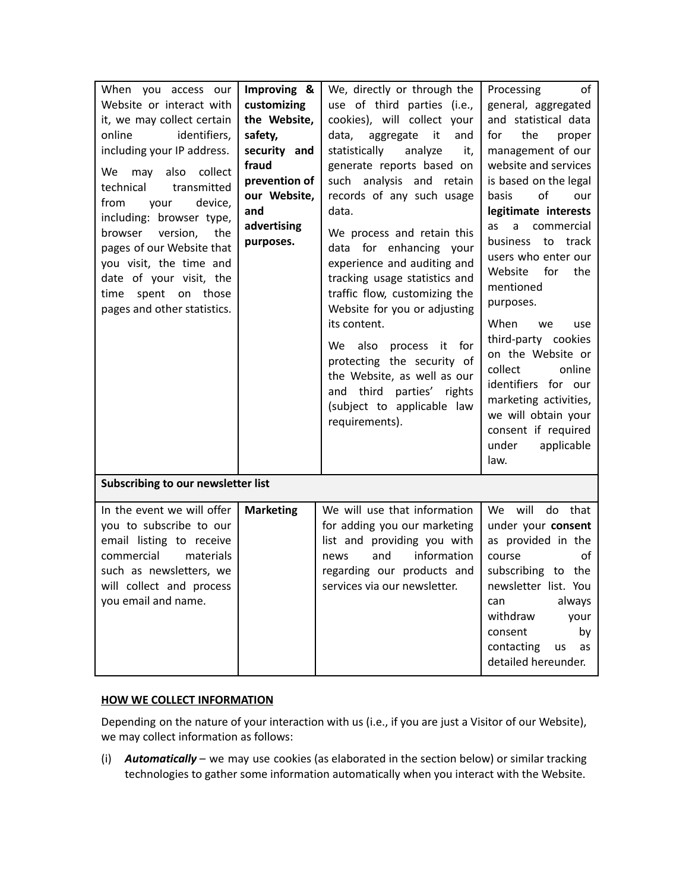| When you access our<br>Website or interact with<br>it, we may collect certain<br>identifiers,<br>online<br>including your IP address.<br>also<br>collect<br>We<br>may<br>technical<br>transmitted<br>device,<br>from<br>your<br>including: browser type,<br>version,<br>the<br>browser<br>pages of our Website that<br>you visit, the time and<br>date of your visit, the<br>spent on those<br>time<br>pages and other statistics. | Improving &<br>customizing<br>the Website,<br>safety,<br>security and<br>fraud<br>prevention of<br>our Website,<br>and<br>advertising<br>purposes. | We, directly or through the<br>use of third parties (i.e.,<br>cookies), will collect your<br>data,<br>aggregate<br>it<br>and<br>statistically<br>analyze<br>it,<br>generate reports based on<br>such analysis and retain<br>records of any such usage<br>data.<br>We process and retain this<br>data for enhancing your<br>experience and auditing and<br>tracking usage statistics and<br>traffic flow, customizing the<br>Website for you or adjusting<br>its content.<br>process it for<br>also<br>We .<br>protecting the security of<br>the Website, as well as our<br>third<br>parties'<br>rights<br>and<br>(subject to applicable law<br>requirements). | Processing<br>of<br>general, aggregated<br>and statistical data<br>the<br>for<br>proper<br>management of our<br>website and services<br>is based on the legal<br>οf<br>basis<br>our<br>legitimate interests<br>commercial<br>a<br>as<br><b>business</b><br>to<br>track<br>users who enter our<br>Website<br>for<br>the<br>mentioned<br>purposes.<br>When<br>we<br>use<br>third-party cookies<br>on the Website or<br>collect<br>online<br>identifiers for our<br>marketing activities,<br>we will obtain your<br>consent if required<br>under<br>applicable<br>law. |  |
|------------------------------------------------------------------------------------------------------------------------------------------------------------------------------------------------------------------------------------------------------------------------------------------------------------------------------------------------------------------------------------------------------------------------------------|----------------------------------------------------------------------------------------------------------------------------------------------------|---------------------------------------------------------------------------------------------------------------------------------------------------------------------------------------------------------------------------------------------------------------------------------------------------------------------------------------------------------------------------------------------------------------------------------------------------------------------------------------------------------------------------------------------------------------------------------------------------------------------------------------------------------------|---------------------------------------------------------------------------------------------------------------------------------------------------------------------------------------------------------------------------------------------------------------------------------------------------------------------------------------------------------------------------------------------------------------------------------------------------------------------------------------------------------------------------------------------------------------------|--|
| Subscribing to our newsletter list                                                                                                                                                                                                                                                                                                                                                                                                 |                                                                                                                                                    |                                                                                                                                                                                                                                                                                                                                                                                                                                                                                                                                                                                                                                                               |                                                                                                                                                                                                                                                                                                                                                                                                                                                                                                                                                                     |  |
| In the event we will offer<br>you to subscribe to our<br>email listing to receive<br>commercial<br>materials<br>such as newsletters, we<br>will collect and process<br>you email and name.                                                                                                                                                                                                                                         | <b>Marketing</b>                                                                                                                                   | We will use that information<br>for adding you our marketing<br>list and providing you with<br>information<br>and<br>news<br>regarding our products and<br>services via our newsletter.                                                                                                                                                                                                                                                                                                                                                                                                                                                                       | will<br>do<br>We<br>that<br>under your consent<br>as provided in the<br>οf<br>course<br>subscribing to the<br>newsletter list. You<br>always<br>can<br>withdraw<br>your<br>consent<br>by<br>contacting<br>us<br>as<br>detailed hereunder.                                                                                                                                                                                                                                                                                                                           |  |

## **HOW WE COLLECT INFORMATION**

Depending on the nature of your interaction with us (i.e., if you are just a Visitor of our Website), we may collect information as follows:

(i) *Automatically* – we may use cookies (as elaborated in the section below) or similar tracking technologies to gather some information automatically when you interact with the Website.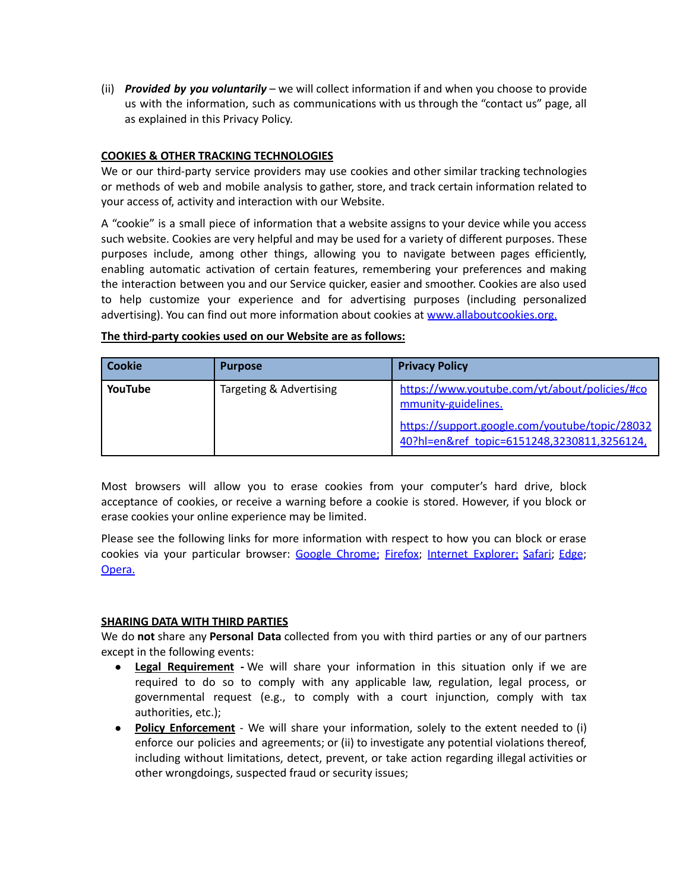(ii) *Provided by you voluntarily* – we will collect information if and when you choose to provide us with the information, such as communications with us through the "contact us" page, all as explained in this Privacy Policy.

# **COOKIES & OTHER TRACKING TECHNOLOGIES**

We or our third-party service providers may use cookies and other similar tracking technologies or methods of web and mobile analysis to gather, store, and track certain information related to your access of, activity and interaction with our Website.

A "cookie" is a small piece of information that a website assigns to your device while you access such website. Cookies are very helpful and may be used for a variety of different purposes. These purposes include, among other things, allowing you to navigate between pages efficiently, enabling automatic activation of certain features, remembering your preferences and making the interaction between you and our Service quicker, easier and smoother. Cookies are also used to help customize your experience and for advertising purposes (including personalized advertising). You can find out more information about cookies at [www.allaboutcookies.org.](http://www.allaboutcookies.org/)

| <b>Cookie</b> | <b>Purpose</b>          | <b>Privacy Policy</b>                                                                         |
|---------------|-------------------------|-----------------------------------------------------------------------------------------------|
| YouTube       | Targeting & Advertising | https://www.youtube.com/yt/about/policies/#co<br>mmunity-guidelines.                          |
|               |                         | https://support.google.com/youtube/topic/28032<br>40?hl=en&ref_topic=6151248,3230811,3256124, |

#### **The third-party cookies used on our Website are as follows:**

Most browsers will allow you to erase cookies from your computer's hard drive, block acceptance of cookies, or receive a warning before a cookie is stored. However, if you block or erase cookies your online experience may be limited.

Please see the following links for more information with respect to how you can block or erase cookies via your particular browser: Google [Chrome](https://support.google.com/chrome/answer/95647?hl=en); [Firefox](https://support.mozilla.org/en-US/kb/enable-and-disable-cookies-website-preferences); Internet [Explorer](https://support.microsoft.com/en-gb/help/17442/windows-internet-explorer-delete-manage-cookies); [Safari](https://support.apple.com/kb/PH21411); [Edge](https://privacy.microsoft.com/en-us/windows-10-microsoft-edge-and-privacy); [Opera](http://www.opera.com/help/tutorials/security/cookies/).

## **SHARING DATA WITH THIRD PARTIES**

We do **not** share any **Personal Data** collected from you with third parties or any of our partners except in the following events:

- **Legal Requirement -** We will share your information in this situation only if we are required to do so to comply with any applicable law, regulation, legal process, or governmental request (e.g., to comply with a court injunction, comply with tax authorities, etc.);
- **Policy Enforcement** We will share your information, solely to the extent needed to (i) enforce our policies and agreements; or (ii) to investigate any potential violations thereof, including without limitations, detect, prevent, or take action regarding illegal activities or other wrongdoings, suspected fraud or security issues;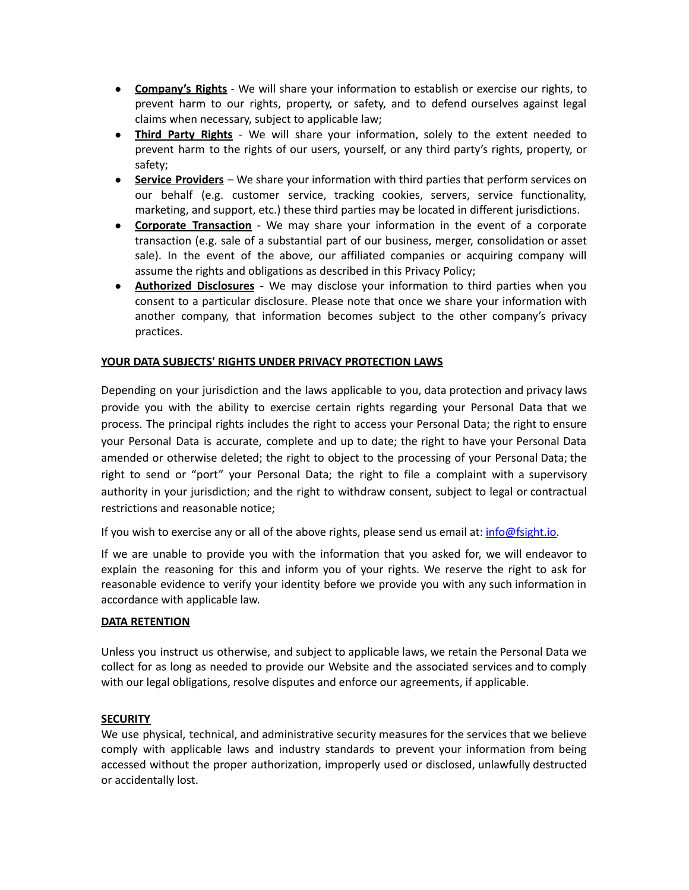- **Company's Rights** We will share your information to establish or exercise our rights, to prevent harm to our rights, property, or safety, and to defend ourselves against legal claims when necessary, subject to applicable law;
- **Third Party Rights** We will share your information, solely to the extent needed to prevent harm to the rights of our users, yourself, or any third party's rights, property, or safety;
- **Service Providers** We share your information with third parties that perform services on our behalf (e.g. customer service, tracking cookies, servers, service functionality, marketing, and support, etc.) these third parties may be located in different jurisdictions.
- **Corporate Transaction** *-* We may share your information in the event of a corporate transaction (e.g. sale of a substantial part of our business, merger, consolidation or asset sale). In the event of the above, our affiliated companies or acquiring company will assume the rights and obligations as described in this Privacy Policy;
- **Authorized Disclosures** *-* We may disclose your information to third parties when you consent to a particular disclosure. Please note that once we share your information with another company, that information becomes subject to the other company's privacy practices.

# **YOUR DATA SUBJECTS' RIGHTS UNDER PRIVACY PROTECTION LAWS**

Depending on your jurisdiction and the laws applicable to you, data protection and privacy laws provide you with the ability to exercise certain rights regarding your Personal Data that we process. The principal rights includes the right to access your Personal Data; the right to ensure your Personal Data is accurate, complete and up to date; the right to have your Personal Data amended or otherwise deleted; the right to object to the processing of your Personal Data; the right to send or "port" your Personal Data; the right to file a complaint with a supervisory authority in your jurisdiction; and the right to withdraw consent, subject to legal or contractual restrictions and reasonable notice;

If you wish to exercise any or all of the above rights, please send us email at: [info@fsight.io.](mailto:info@fsight.io)

If we are unable to provide you with the information that you asked for, we will endeavor to explain the reasoning for this and inform you of your rights. We reserve the right to ask for reasonable evidence to verify your identity before we provide you with any such information in accordance with applicable law.

## **DATA RETENTION**

Unless you instruct us otherwise, and subject to applicable laws, we retain the Personal Data we collect for as long as needed to provide our Website and the associated services and to comply with our legal obligations, resolve disputes and enforce our agreements, if applicable.

## **SECURITY**

We use physical, technical, and administrative security measures for the services that we believe comply with applicable laws and industry standards to prevent your information from being accessed without the proper authorization, improperly used or disclosed, unlawfully destructed or accidentally lost.